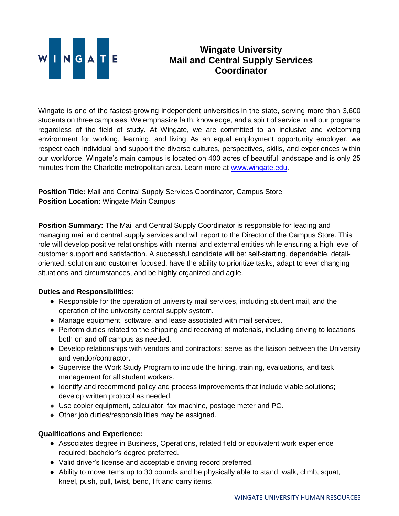

## **Wingate University Mail and Central Supply Services Coordinator**

Wingate is one of the fastest-growing independent universities in the state, serving more than 3,600 students on three campuses. We emphasize faith, knowledge, and a spirit of service in all our programs regardless of the field of study. At Wingate, we are committed to an inclusive and welcoming environment for working, learning, and living. As an equal employment opportunity employer, we respect each individual and support the diverse cultures, perspectives, skills, and experiences within our workforce. Wingate's main campus is located on 400 acres of beautiful landscape and is only 25 minutes from the Charlotte metropolitan area. Learn more at [www.wingate.edu.](http://www.wingate/edu)

**Position Title:** Mail and Central Supply Services Coordinator, Campus Store **Position Location:** Wingate Main Campus

**Position Summary:** The Mail and Central Supply Coordinator is responsible for leading and managing mail and central supply services and will report to the Director of the Campus Store. This role will develop positive relationships with internal and external entities while ensuring a high level of customer support and satisfaction. A successful candidate will be: self-starting, dependable, detailoriented, solution and customer focused, have the ability to prioritize tasks, adapt to ever changing situations and circumstances, and be highly organized and agile.

## **Duties and Responsibilities**:

- Responsible for the operation of university mail services, including student mail, and the operation of the university central supply system.
- Manage equipment, software, and lease associated with mail services.
- Perform duties related to the shipping and receiving of materials, including driving to locations both on and off campus as needed.
- Develop relationships with vendors and contractors; serve as the liaison between the University and vendor/contractor.
- Supervise the Work Study Program to include the hiring, training, evaluations, and task management for all student workers.
- Identify and recommend policy and process improvements that include viable solutions; develop written protocol as needed.
- Use copier equipment, calculator, fax machine, postage meter and PC.
- Other job duties/responsibilities may be assigned.

## **Qualifications and Experience:**

- Associates degree in Business, Operations, related field or equivalent work experience required; bachelor's degree preferred.
- Valid driver's license and acceptable driving record preferred.
- Ability to move items up to 30 pounds and be physically able to stand, walk, climb, squat, kneel, push, pull, twist, bend, lift and carry items.